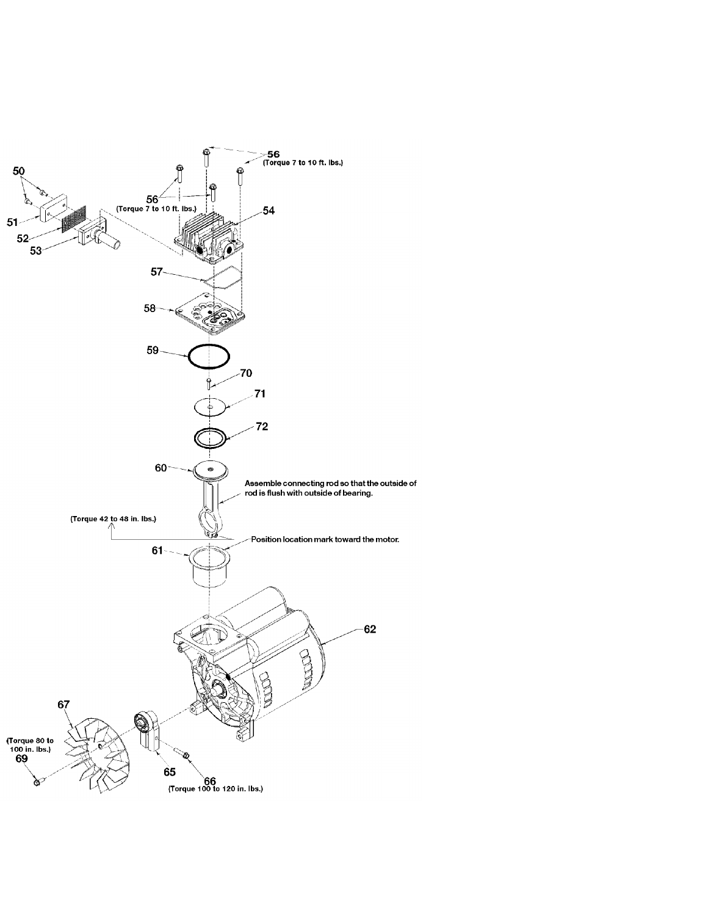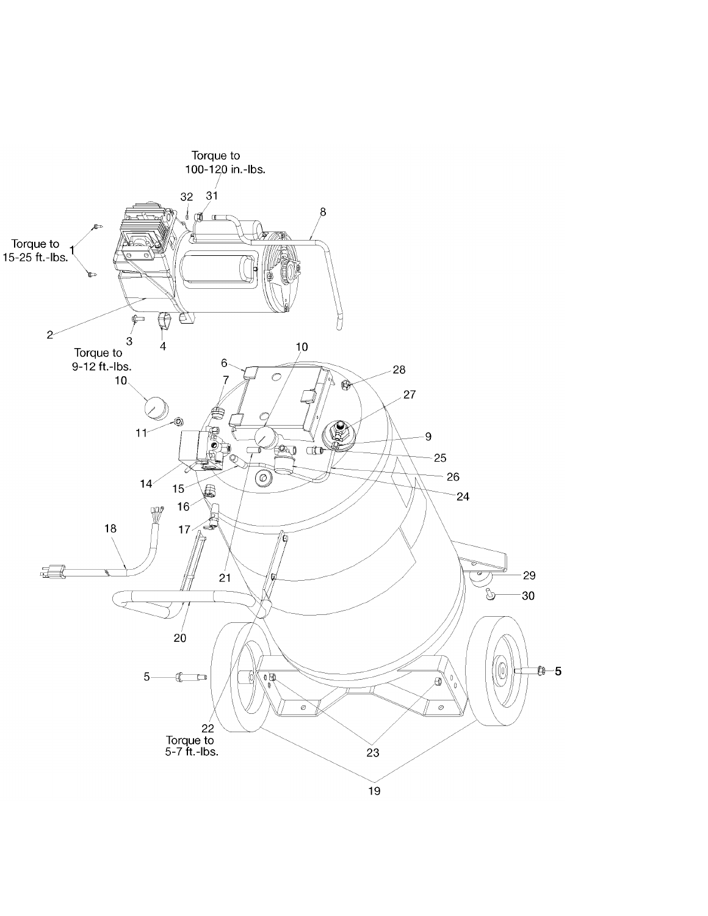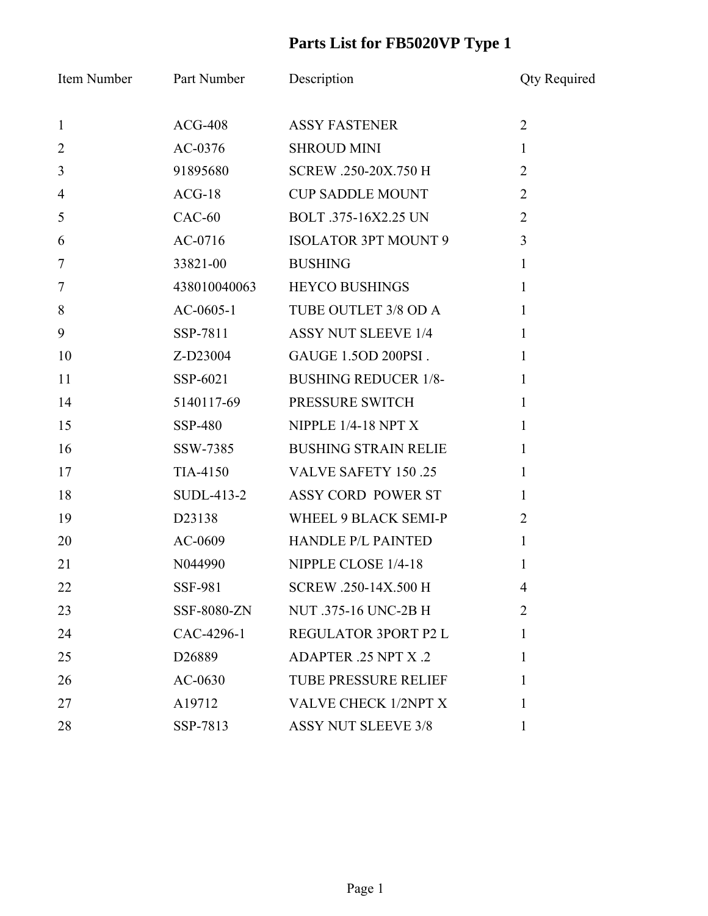## **Parts List for FB5020VP Type 1**

| Item Number    | <b>Part Number</b> | Description                 | <b>Qty Required</b> |
|----------------|--------------------|-----------------------------|---------------------|
| $\mathbf{1}$   | $ACG-408$          | <b>ASSY FASTENER</b>        | $\overline{2}$      |
| $\overline{2}$ | AC-0376            | <b>SHROUD MINI</b>          | $\mathbf{1}$        |
| 3              | 91895680           | SCREW .250-20X.750 H        | $\overline{2}$      |
| $\overline{4}$ | $ACG-18$           | <b>CUP SADDLE MOUNT</b>     | $\overline{2}$      |
| 5              | $CAC-60$           | BOLT .375-16X2.25 UN        | $\overline{2}$      |
| 6              | $AC-0716$          | <b>ISOLATOR 3PT MOUNT 9</b> | 3                   |
| $\overline{7}$ | 33821-00           | <b>BUSHING</b>              | $\mathbf{1}$        |
| $\overline{7}$ | 438010040063       | <b>HEYCO BUSHINGS</b>       | $\mathbf{1}$        |
| 8              | $AC-0605-1$        | TUBE OUTLET 3/8 OD A        | $\mathbf{1}$        |
| 9              | SSP-7811           | <b>ASSY NUT SLEEVE 1/4</b>  | $\mathbf{1}$        |
| 10             | Z-D23004           | GAUGE 1.5OD 200PSI.         | $\mathbf{1}$        |
| 11             | SSP-6021           | <b>BUSHING REDUCER 1/8-</b> | $\mathbf{1}$        |
| 14             | 5140117-69         | PRESSURE SWITCH             | $\mathbf{1}$        |
| 15             | SSP-480            | NIPPLE $1/4-18$ NPT X       | $\mathbf{1}$        |
| 16             | SSW-7385           | <b>BUSHING STRAIN RELIE</b> | $\mathbf{1}$        |
| 17             | TIA-4150           | <b>VALVE SAFETY 150.25</b>  | $\mathbf{1}$        |
| 18             | SUDL-413-2         | ASSY CORD POWER ST          | $\mathbf{1}$        |
| 19             | D23138             | WHEEL 9 BLACK SEMI-P        | $\overline{2}$      |
| 20             | AC-0609            | <b>HANDLE P/L PAINTED</b>   | $\mathbf{1}$        |
| 21             | N044990            | NIPPLE CLOSE 1/4-18         | 1                   |
| 22             | SSF-981            | SCREW .250-14X.500 H        | 4                   |
| 23             | SSF-8080-ZN        | NUT .375-16 UNC-2B H        | $\overline{2}$      |
| 24             | CAC-4296-1         | REGULATOR 3PORT P2 L        | 1                   |
| 25             | D <sub>26889</sub> | ADAPTER .25 NPT X .2        | 1                   |
| 26             | $AC-0630$          | <b>TUBE PRESSURE RELIEF</b> | 1                   |
| 27             | A19712             | VALVE CHECK 1/2NPT X        | 1                   |
| 28             | SSP-7813           | <b>ASSY NUT SLEEVE 3/8</b>  | $\mathbf{1}$        |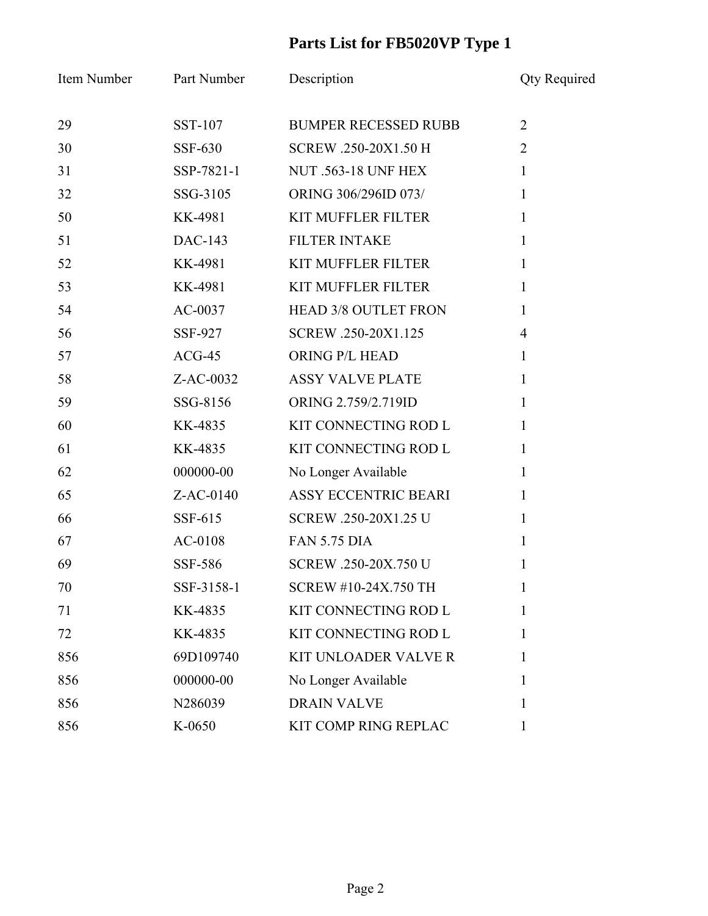## **Parts List for FB5020VP Type 1**

| Item Number | Part Number | Description                 | <b>Qty Required</b> |
|-------------|-------------|-----------------------------|---------------------|
| 29          | SST-107     | <b>BUMPER RECESSED RUBB</b> | $\overline{2}$      |
| 30          | SSF-630     | SCREW .250-20X1.50 H        | $\overline{2}$      |
| 31          | SSP-7821-1  | <b>NUT .563-18 UNF HEX</b>  | $\mathbf{1}$        |
| 32          | SSG-3105    | ORING 306/296ID 073/        | $\mathbf{1}$        |
| 50          | KK-4981     | <b>KIT MUFFLER FILTER</b>   | $\mathbf{1}$        |
| 51          | DAC-143     | <b>FILTER INTAKE</b>        | $\mathbf{1}$        |
| 52          | KK-4981     | <b>KIT MUFFLER FILTER</b>   | $\mathbf{1}$        |
| 53          | KK-4981     | <b>KIT MUFFLER FILTER</b>   | $\mathbf{1}$        |
| 54          | $AC-0037$   | <b>HEAD 3/8 OUTLET FRON</b> | $\mathbf{1}$        |
| 56          | SSF-927     | SCREW .250-20X1.125         | $\overline{4}$      |
| 57          | $ACG-45$    | ORING P/L HEAD              | $\mathbf{1}$        |
| 58          | Z-AC-0032   | <b>ASSY VALVE PLATE</b>     | $\mathbf{1}$        |
| 59          | SSG-8156    | ORING 2.759/2.719ID         | $\mathbf{1}$        |
| 60          | KK-4835     | KIT CONNECTING ROD L        | $\mathbf{1}$        |
| 61          | KK-4835     | KIT CONNECTING ROD L        | $\mathbf{1}$        |
| 62          | 000000-00   | No Longer Available         | $\mathbf{1}$        |
| 65          | Z-AC-0140   | ASSY ECCENTRIC BEARI        | $\mathbf{1}$        |
| 66          | SSF-615     | SCREW .250-20X1.25 U        | $\mathbf{1}$        |
| 67          | AC-0108     | <b>FAN 5.75 DIA</b>         | $\mathbf{1}$        |
| 69          | SSF-586     | SCREW .250-20X.750 U        | 1                   |
| 70          | SSF-3158-1  | <b>SCREW #10-24X.750 TH</b> | 1                   |
| 71          | KK-4835     | KIT CONNECTING ROD L        | 1                   |
| 72          | KK-4835     | KIT CONNECTING ROD L        | 1                   |
| 856         | 69D109740   | <b>KIT UNLOADER VALVE R</b> | 1                   |
| 856         | 000000-00   | No Longer Available         | 1                   |
| 856         | N286039     | <b>DRAIN VALVE</b>          | 1                   |
| 856         | K-0650      | KIT COMP RING REPLAC        | $\mathbf{1}$        |